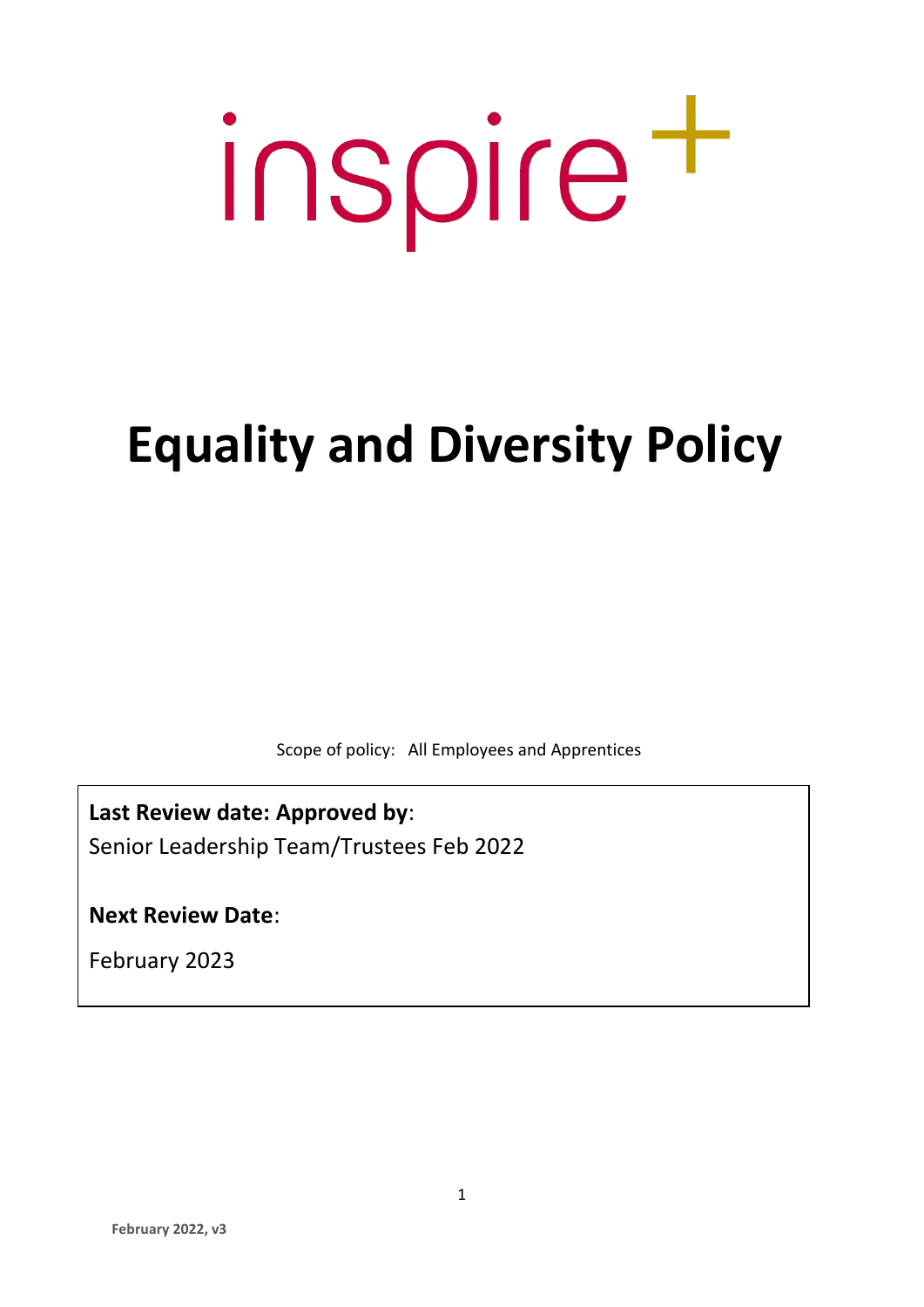# inspire<sup>+</sup>

# **Equality and Diversity Policy**

Scope of policy: All Employees and Apprentices

**Last Review date: Approved by**: Senior Leadership Team/Trustees Feb 2022

**Next Review Date**:

February 2023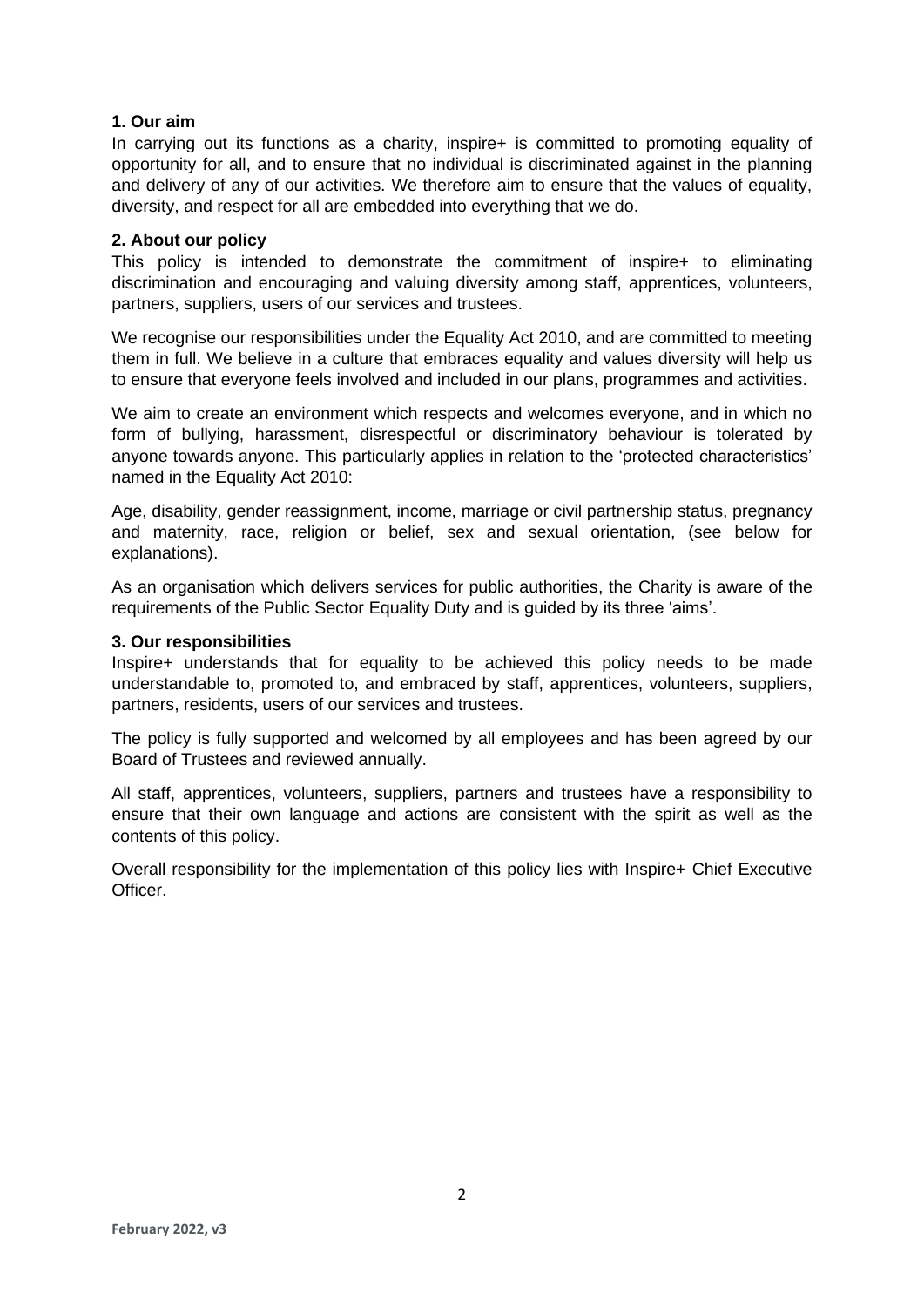# **1. Our aim**

In carrying out its functions as a charity, inspire+ is committed to promoting equality of opportunity for all, and to ensure that no individual is discriminated against in the planning and delivery of any of our activities. We therefore aim to ensure that the values of equality, diversity, and respect for all are embedded into everything that we do.

## **2. About our policy**

This policy is intended to demonstrate the commitment of inspire+ to eliminating discrimination and encouraging and valuing diversity among staff, apprentices, volunteers, partners, suppliers, users of our services and trustees.

We recognise our responsibilities under the Equality Act 2010, and are committed to meeting them in full. We believe in a culture that embraces equality and values diversity will help us to ensure that everyone feels involved and included in our plans, programmes and activities.

We aim to create an environment which respects and welcomes everyone, and in which no form of bullying, harassment, disrespectful or discriminatory behaviour is tolerated by anyone towards anyone. This particularly applies in relation to the 'protected characteristics' named in the Equality Act 2010:

Age, disability, gender reassignment, income, marriage or civil partnership status, pregnancy and maternity, race, religion or belief, sex and sexual orientation, (see below for explanations).

As an organisation which delivers services for public authorities, the Charity is aware of the requirements of the Public Sector Equality Duty and is guided by its three 'aims'.

## **3. Our responsibilities**

Inspire+ understands that for equality to be achieved this policy needs to be made understandable to, promoted to, and embraced by staff, apprentices, volunteers, suppliers, partners, residents, users of our services and trustees.

The policy is fully supported and welcomed by all employees and has been agreed by our Board of Trustees and reviewed annually.

All staff, apprentices, volunteers, suppliers, partners and trustees have a responsibility to ensure that their own language and actions are consistent with the spirit as well as the contents of this policy.

Overall responsibility for the implementation of this policy lies with Inspire+ Chief Executive **Officer**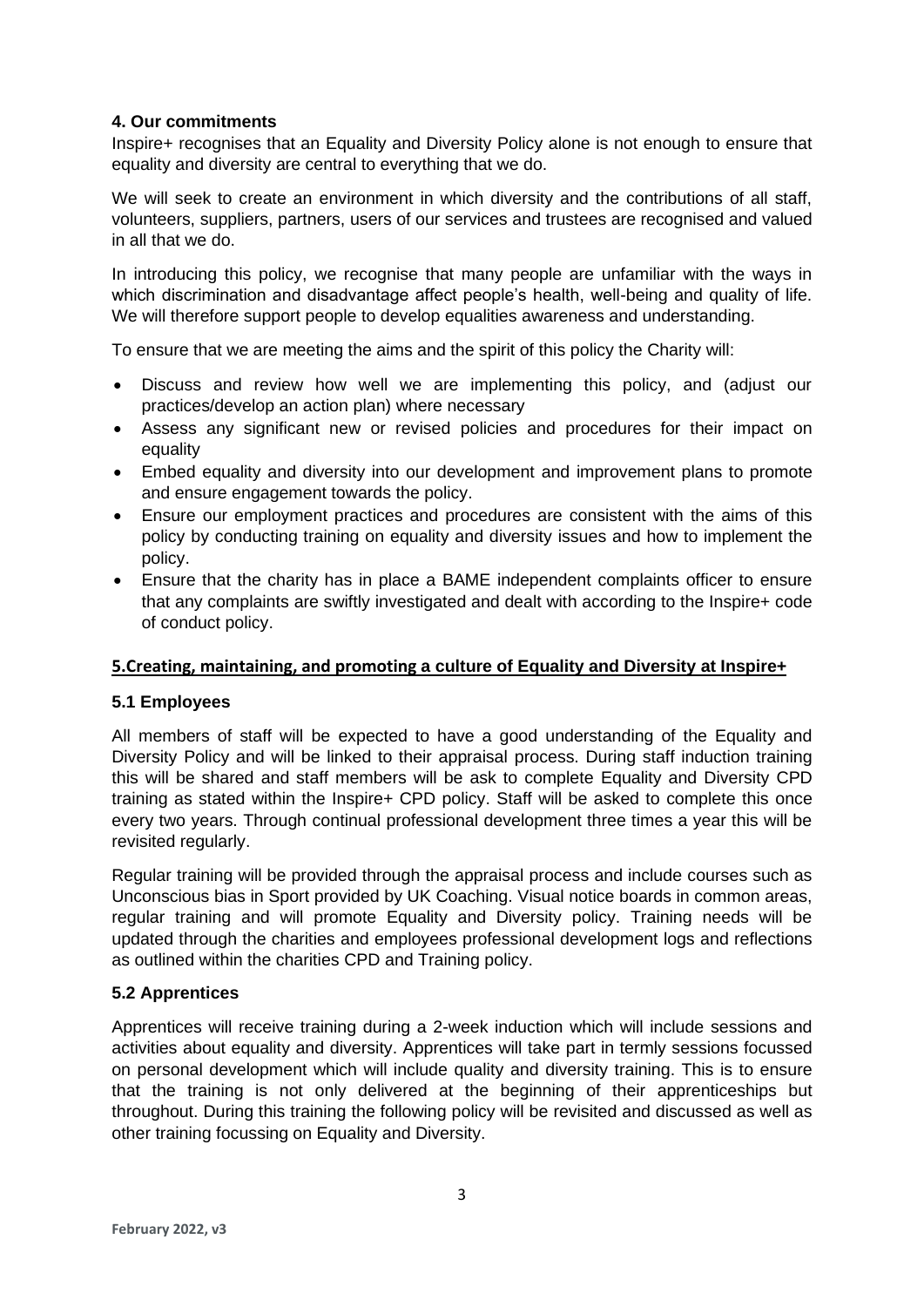# **4. Our commitments**

Inspire+ recognises that an Equality and Diversity Policy alone is not enough to ensure that equality and diversity are central to everything that we do.

We will seek to create an environment in which diversity and the contributions of all staff, volunteers, suppliers, partners, users of our services and trustees are recognised and valued in all that we do.

In introducing this policy, we recognise that many people are unfamiliar with the ways in which discrimination and disadvantage affect people's health, well-being and quality of life. We will therefore support people to develop equalities awareness and understanding.

To ensure that we are meeting the aims and the spirit of this policy the Charity will:

- Discuss and review how well we are implementing this policy, and (adjust our practices/develop an action plan) where necessary
- Assess any significant new or revised policies and procedures for their impact on equality
- Embed equality and diversity into our development and improvement plans to promote and ensure engagement towards the policy.
- Ensure our employment practices and procedures are consistent with the aims of this policy by conducting training on equality and diversity issues and how to implement the policy.
- Ensure that the charity has in place a BAME independent complaints officer to ensure that any complaints are swiftly investigated and dealt with according to the Inspire+ code of conduct policy.

# **5.Creating, maintaining, and promoting a culture of Equality and Diversity at Inspire+**

# **5.1 Employees**

All members of staff will be expected to have a good understanding of the Equality and Diversity Policy and will be linked to their appraisal process. During staff induction training this will be shared and staff members will be ask to complete Equality and Diversity CPD training as stated within the Inspire+ CPD policy. Staff will be asked to complete this once every two years. Through continual professional development three times a year this will be revisited regularly.

Regular training will be provided through the appraisal process and include courses such as Unconscious bias in Sport provided by UK Coaching. Visual notice boards in common areas, regular training and will promote Equality and Diversity policy. Training needs will be updated through the charities and employees professional development logs and reflections as outlined within the charities CPD and Training policy.

# **5.2 Apprentices**

Apprentices will receive training during a 2-week induction which will include sessions and activities about equality and diversity. Apprentices will take part in termly sessions focussed on personal development which will include quality and diversity training. This is to ensure that the training is not only delivered at the beginning of their apprenticeships but throughout. During this training the following policy will be revisited and discussed as well as other training focussing on Equality and Diversity.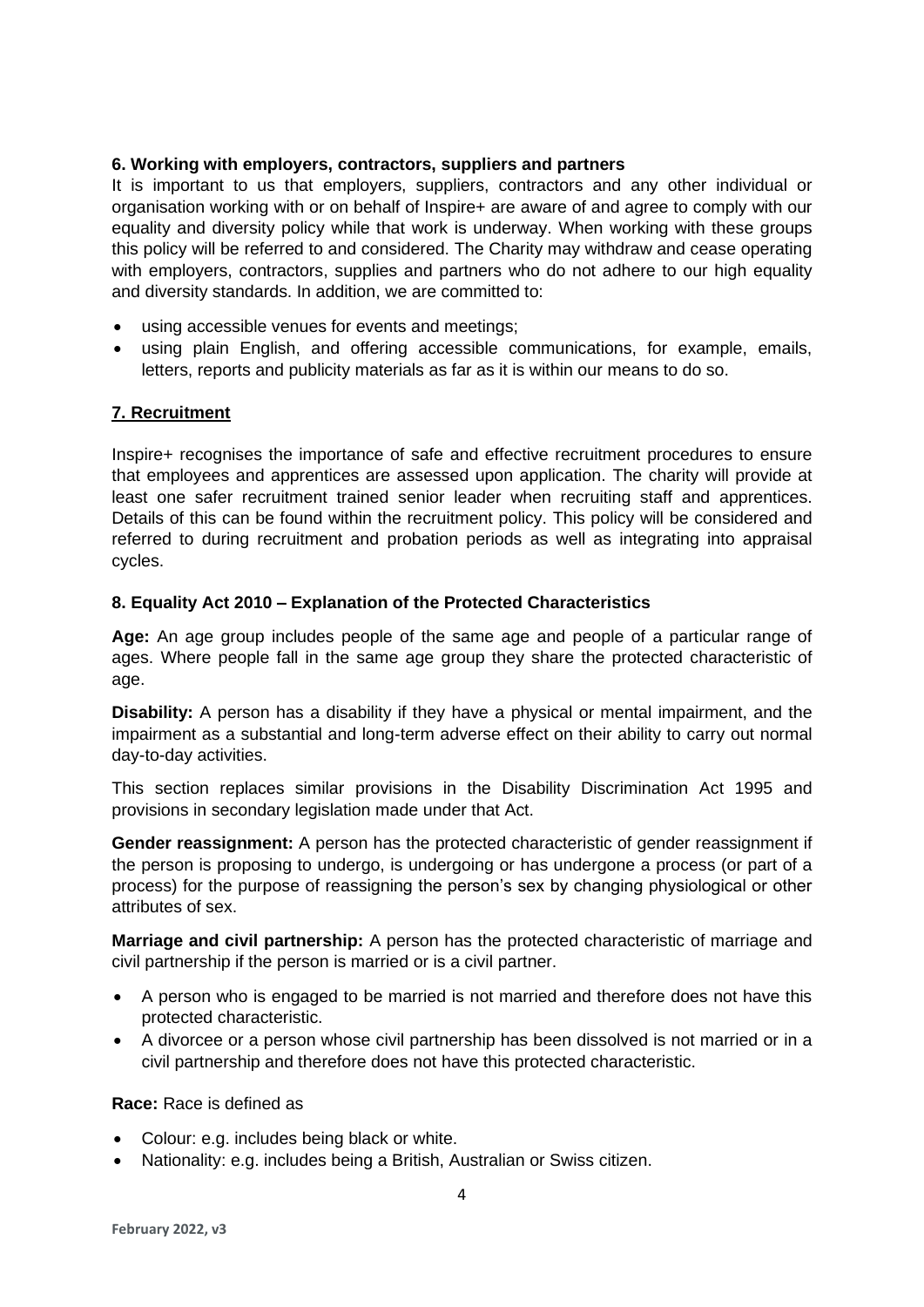# **6. Working with employers, contractors, suppliers and partners**

It is important to us that employers, suppliers, contractors and any other individual or organisation working with or on behalf of Inspire+ are aware of and agree to comply with our equality and diversity policy while that work is underway. When working with these groups this policy will be referred to and considered. The Charity may withdraw and cease operating with employers, contractors, supplies and partners who do not adhere to our high equality and diversity standards. In addition, we are committed to:

- using accessible venues for events and meetings;
- using plain English, and offering accessible communications, for example, emails, letters, reports and publicity materials as far as it is within our means to do so.

# **7. Recruitment**

Inspire+ recognises the importance of safe and effective recruitment procedures to ensure that employees and apprentices are assessed upon application. The charity will provide at least one safer recruitment trained senior leader when recruiting staff and apprentices. Details of this can be found within the recruitment policy. This policy will be considered and referred to during recruitment and probation periods as well as integrating into appraisal cycles.

## **8. Equality Act 2010 – Explanation of the Protected Characteristics**

**Age:** An age group includes people of the same age and people of a particular range of ages. Where people fall in the same age group they share the protected characteristic of age.

**Disability:** A person has a disability if they have a physical or mental impairment, and the impairment as a substantial and long-term adverse effect on their ability to carry out normal day-to-day activities.

This section replaces similar provisions in the Disability Discrimination Act 1995 and provisions in secondary legislation made under that Act.

**Gender reassignment:** A person has the protected characteristic of gender reassignment if the person is proposing to undergo, is undergoing or has undergone a process (or part of a process) for the purpose of reassigning the person's sex by changing physiological or other attributes of sex.

**Marriage and civil partnership:** A person has the protected characteristic of marriage and civil partnership if the person is married or is a civil partner.

- A person who is engaged to be married is not married and therefore does not have this protected characteristic.
- A divorcee or a person whose civil partnership has been dissolved is not married or in a civil partnership and therefore does not have this protected characteristic.

#### **Race:** Race is defined as

- Colour: e.g. includes being black or white.
- Nationality: e.g. includes being a British, Australian or Swiss citizen.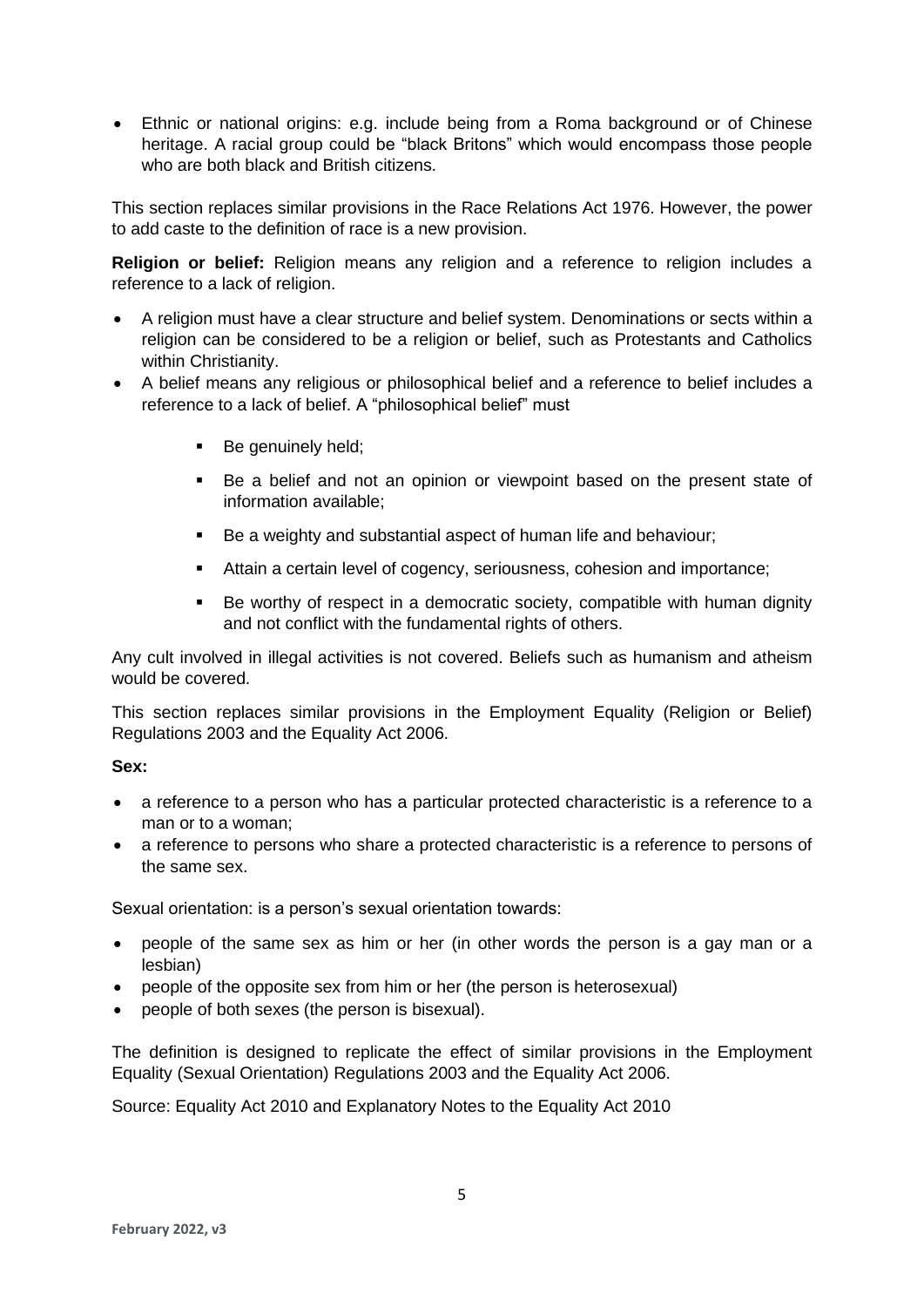• Ethnic or national origins: e.g. include being from a Roma background or of Chinese heritage. A racial group could be "black Britons" which would encompass those people who are both black and British citizens.

This section replaces similar provisions in the Race Relations Act 1976. However, the power to add caste to the definition of race is a new provision.

**Religion or belief:** Religion means any religion and a reference to religion includes a reference to a lack of religion.

- A religion must have a clear structure and belief system. Denominations or sects within a religion can be considered to be a religion or belief, such as Protestants and Catholics within Christianity.
- A belief means any religious or philosophical belief and a reference to belief includes a reference to a lack of belief. A "philosophical belief" must
	- Be genuinely held;
	- Be a belief and not an opinion or viewpoint based on the present state of information available;
	- Be a weighty and substantial aspect of human life and behaviour;
	- Attain a certain level of cogency, seriousness, cohesion and importance;
	- Be worthy of respect in a democratic society, compatible with human dignity and not conflict with the fundamental rights of others.

Any cult involved in illegal activities is not covered. Beliefs such as humanism and atheism would be covered.

This section replaces similar provisions in the Employment Equality (Religion or Belief) Regulations 2003 and the Equality Act 2006.

#### **Sex:**

- a reference to a person who has a particular protected characteristic is a reference to a man or to a woman;
- a reference to persons who share a protected characteristic is a reference to persons of the same sex.

Sexual orientation: is a person's sexual orientation towards:

- people of the same sex as him or her (in other words the person is a gay man or a lesbian)
- people of the opposite sex from him or her (the person is heterosexual)
- people of both sexes (the person is bisexual).

The definition is designed to replicate the effect of similar provisions in the Employment Equality (Sexual Orientation) Regulations 2003 and the Equality Act 2006.

Source: Equality Act 2010 and Explanatory Notes to the Equality Act 2010